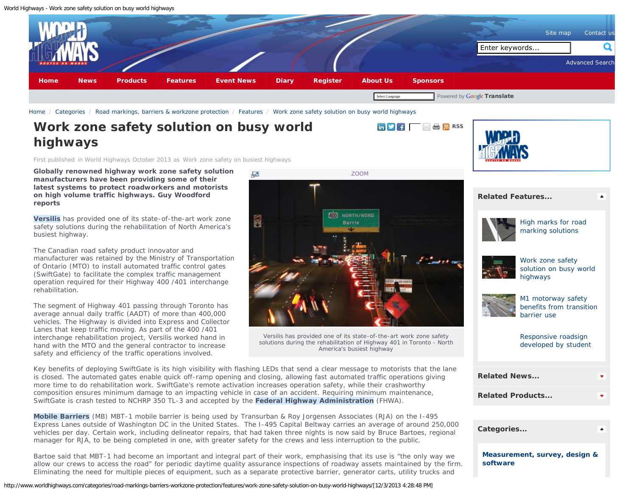<span id="page-0-0"></span>World Highways - Work zone safety solution on busy world highways



[Home](http://www.worldhighways.com/welcome/) / [Categories](http://www.worldhighways.com/categories/) / [Road markings, barriers & workzone protection](http://www.worldhighways.com/categories/road-markings-barriers-workzone-protection/) / [Features](http://www.worldhighways.com/categories/road-markings-barriers-workzone-protection/features/) / [Work zone safety solution on busy world highways](#page-0-0)

## **Work zone safety solution on busy world highways**

First published in World Highways October 2013 as Work zone safety on busiest highways

**Globally renowned highway work zone safety solution manufacturers have been providing some of their latest systems to protect roadworkers and motorists on high volume traffic highways. Guy Woodford reports**

**Versilis** has provided one of its state-of-the-art work zone safety solutions during the rehabilitation of North America's busiest highway.

The Canadian road safety product innovator and manufacturer was retained by the Ministry of Transportation of Ontario (MTO) to install automated traffic control gates (SwiftGate) to facilitate the complex traffic management operation required for their Highway 400 /401 interchange rehabilitation.

The segment of Highway 401 passing through Toronto has average annual daily traffic (AADT) of more than 400,000 vehicles. The Highway is divided into Express and Collector Lanes that keep traffic moving. As part of the 400 /401 interchange rehabilitation project, Versilis worked hand in hand with the MTO and the general contractor to increase safety and efficiency of the traffic operations involved.



**Example 1 [RSS](http://www.worldhighways.com/rss/road-markings-barriers-workzone-protection/)** 

Versilis has provided one of its state-of-the-art work zone safety solutions during the rehabilitation of Highway 401 in Toronto - North America's busiest highway

Key benefits of deploying SwiftGate is its high visibility with flashing LEDs that send a clear message to motorists that the lane is closed. The automated gates enable quick off-ramp opening and closing, allowing fast automated traffic operations giving more time to do rehabilitation work. SwiftGate's remote activation increases operation safety, while their crashworthy composition ensures minimum damage to an impacting vehicle in case of an accident. Requiring minimum maintenance, SwiftGate is crash tested to NCHRP 350 TL-3 and accepted by the **Federal Highway Administration** (FHWA).

**Mobile Barriers** (MB) MBT-1 mobile barrier is being used by Transurban & Roy Jorgensen Associates (RJA) on the I-495 Express Lanes outside of Washington DC in the United States. The I-495 Capital Beltway carries an average of around 250,000 vehicles per day. Certain work, including delineator repairs, that had taken three nights is now said by Bruce Bartoes, regional manager for RJA, to be being completed in one, with greater safety for the crews and less interruption to the public.

Bartoe said that MBT-1 had become an important and integral part of their work, emphasising that its use is "the only way we allow our crews to access the road" for periodic daytime quality assurance inspections of roadway assets maintained by the firm. Eliminating the need for multiple pieces of equipment, such as a separate protective barrier, generator carts, utility trucks and

http://www.worldhighways.com/categories/road-markings-barriers-workzone-protection/features/work-zone-safety-solution-on-busy-world-highways/[12/3/2013 4:28:48 PM]



### **[Related Features...](#page-0-0)**



[High marks for road](http://www.worldhighways.com/categories/road-markings-barriers-workzone-protection/features/high-marks-for-road-marking-solutions/) [marking solutions](http://www.worldhighways.com/categories/road-markings-barriers-workzone-protection/features/high-marks-for-road-marking-solutions/)



[Work zone safety](#page-0-0) [solution on busy world](#page-0-0) [highways](#page-0-0)



[M1 motorway safety](http://www.worldhighways.com/categories/road-markings-barriers-workzone-protection/features/m1-motorway-safety-benefits-from-transition-barrier-use/) [benefits from transition](http://www.worldhighways.com/categories/road-markings-barriers-workzone-protection/features/m1-motorway-safety-benefits-from-transition-barrier-use/) [barrier use](http://www.worldhighways.com/categories/road-markings-barriers-workzone-protection/features/m1-motorway-safety-benefits-from-transition-barrier-use/)

[Responsive roadsign](http://www.worldhighways.com/categories/road-markings-barriers-workzone-protection/features/responsive-roadsign-developed-by-student/) [developed by student](http://www.worldhighways.com/categories/road-markings-barriers-workzone-protection/features/responsive-roadsign-developed-by-student/)

| <b>Related News</b>     |  |
|-------------------------|--|
| <b>Related Products</b> |  |
|                         |  |

| Categories                                |  |
|-------------------------------------------|--|
| Measurement, survey, design &<br>software |  |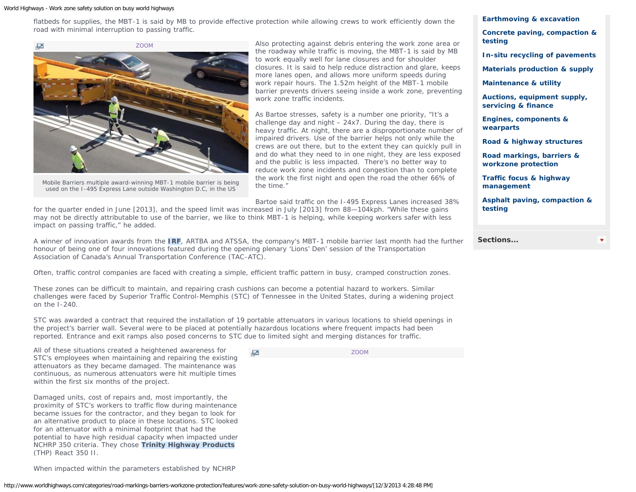#### World Highways - Work zone safety solution on busy world highways

flatbeds for supplies, the MBT-1 is said by MB to provide effective protection while allowing crews to work efficiently down the road with minimal interruption to passing traffic.



Mobile Barriers multiple award-winning MBT-1 mobile barrier is being used on the I-495 Express Lane outside Washington D.C, in the US

Also protecting against debris entering the work zone area or the roadway while traffic is moving, the MBT-1 is said by MB to work equally well for lane closures and for shoulder closures. It is said to help reduce distraction and glare, keeps more lanes open, and allows more uniform speeds during work repair hours. The 1.52m height of the MBT-1 mobile barrier prevents drivers seeing inside a work zone, preventing work zone traffic incidents.

As Bartoe stresses, safety is a number one priority, "It's a challenge day and night – 24x7. During the day, there is heavy traffic. At night, there are a disproportionate number of impaired drivers. Use of the barrier helps not only while the crews are out there, but to the extent they can quickly pull in and do what they need to in one night, they are less exposed and the public is less impacted. There's no better way to reduce work zone incidents and congestion than to complete the work the first night and open the road the other 66% of the time."

Bartoe said traffic on the I-495 Express Lanes increased 38%

for the quarter ended in June [2013], and the speed limit was increased in July [2013] from 88—104kph. "While these gains may not be directly attributable to use of the barrier, we like to think MBT-1 is helping, while keeping workers safer with less impact on passing traffic," he added.

A winner of innovation awards from the **IRF**, ARTBA and ATSSA, the company's MBT-1 mobile barrier last month had the further honour of being one of four innovations featured during the opening plenary 'Lions' Den' session of the Transportation Association of Canada's Annual Transportation Conference (TAC-ATC).

Often, traffic control companies are faced with creating a simple, efficient traffic pattern in busy, cramped construction zones.

These zones can be difficult to maintain, and repairing crash cushions can become a potential hazard to workers. Similar challenges were faced by Superior Traffic Control-Memphis (STC) of Tennessee in the United States, during a widening project on the I-240.

STC was awarded a contract that required the installation of 19 portable attenuators in various locations to shield openings in the project's barrier wall. Several were to be placed at potentially hazardous locations where frequent impacts had been reported. Entrance and exit ramps also posed concerns to STC due to limited sight and merging distances for traffic.

 $\mathbb{Z}$ 

All of these situations created a heightened awareness for STC's employees when maintaining and repairing the existing attenuators as they became damaged. The maintenance was continuous, as numerous attenuators were hit multiple times within the first six months of the project.

Damaged units, cost of repairs and, most importantly, the proximity of STC's workers to traffic flow during maintenance became issues for the contractor, and they began to look for an alternative product to place in these locations. STC looked for an attenuator with a minimal footprint that had the potential to have high residual capacity when impacted under NCHRP 350 criteria. They chose **Trinity Highway Products** (THP) React 350 II.

When impacted within the parameters established by NCHRP

[ZOOM](http://www.worldhighways.com/EasysiteWeb/getresource.axd?AssetID=90737&type=custom&servicetype=Inline&customSizeId=16)

**[Earthmoving & excavation](http://www.worldhighways.com/categories/earthmoving-excavation/)**

**[Concrete paving, compaction &](http://www.worldhighways.com/categories/concrete-paving-compaction-testing/) [testing](http://www.worldhighways.com/categories/concrete-paving-compaction-testing/)**

**[In-situ recycling of pavements](http://www.worldhighways.com/categories/in-situ-recycling-of-pavements/)**

**[Materials production & supply](http://www.worldhighways.com/categories/materials-production-supply/)**

**[Maintenance & utility](http://www.worldhighways.com/categories/maintenance-utility/)**

**[Auctions, equipment supply,](http://www.worldhighways.com/categories/auctions-equipment-supply-servicing-finance/) [servicing & finance](http://www.worldhighways.com/categories/auctions-equipment-supply-servicing-finance/)**

**[Engines, components &](http://www.worldhighways.com/categories/engines-components-wearparts/) [wearparts](http://www.worldhighways.com/categories/engines-components-wearparts/)**

**[Road & highway structures](http://www.worldhighways.com/categories/road-highway-structures/)**

**[Road markings, barriers &](http://www.worldhighways.com/categories/road-markings-barriers-workzone-protection/) [workzone protection](http://www.worldhighways.com/categories/road-markings-barriers-workzone-protection/)**

**[Traffic focus & highway](http://www.worldhighways.com/categories/traffic-focus-highway-management/) [management](http://www.worldhighways.com/categories/traffic-focus-highway-management/)**

**[Asphalt paving, compaction &](http://www.worldhighways.com/categories/asphalt-paving-compaction-testing/) [testing](http://www.worldhighways.com/categories/asphalt-paving-compaction-testing/)**

**[Sections...](#page-0-0)**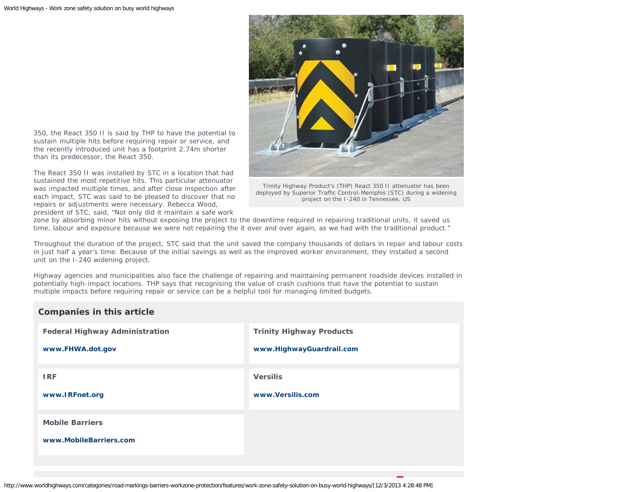

350, the React 350 II is said by THP to have the potential to sustain multiple hits before requiring repair or service, and the recently introduced unit has a footprint 2.74m shorter than its predecessor, the React 350.

The React 350 II was installed by STC in a location that had sustained the most repetitive hits. This particular attenuator was impacted multiple times, and after close inspection after each impact, STC was said to be pleased to discover that no repairs or adjustments were necessary. Rebecca Wood, president of STC, said, "Not only did it maintain a safe work

Trinity Highway Product's (THP) React 350 II attenuator has been deployed by Superior Traffic Control-Memphis (STC) during a widening project on the I-240 in Tennessee, US

zone by absorbing minor hits without exposing the project to the downtime required in repairing traditional units, it saved us time, labour and exposure because we were not repairing the it over and over again, as we had with the traditional product."

Throughout the duration of the project, STC said that the unit saved the company thousands of dollars in repair and labour costs in just half a year's time. Because of the initial savings as well as the improved worker environment, they installed a second unit on the I-240 widening project.

Highway agencies and municipalities also face the challenge of repairing and maintaining permanent roadside devices installed in potentially high-impact locations. THP says that recognising the value of crash cushions that have the potential to sustain multiple impacts before requiring repair or service can be a helpful tool for managing limited budgets.

## **Companies in this article**

| <b>Federal Highway Administration</b>            | <b>Trinity Highway Products</b> |
|--------------------------------------------------|---------------------------------|
| www.FHWA.dot.gov                                 | www.HighwayGuardrail.com        |
| <b>IRF</b>                                       | <b>Versilis</b>                 |
| www.IRFnet.org                                   | www.Versilis.com                |
| <b>Mobile Barriers</b><br>www.MobileBarriers.com |                                 |